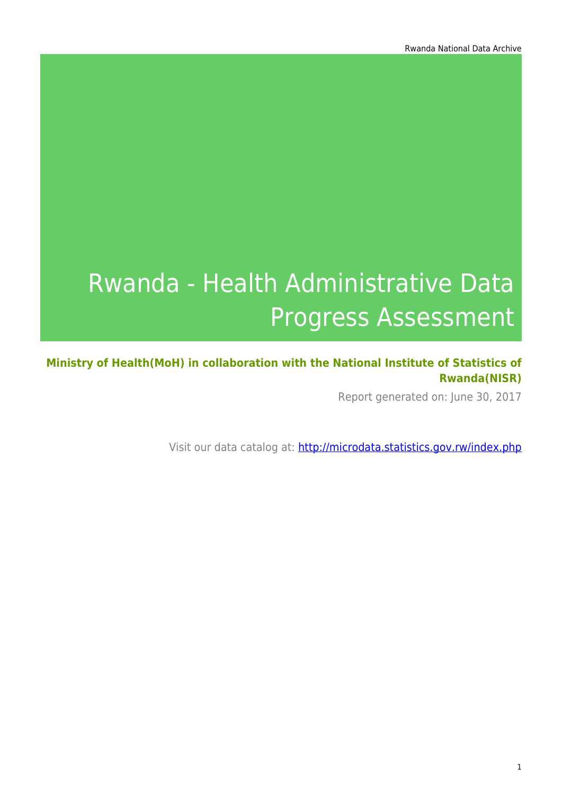# Rwanda - Health Administrative Data Progress Assessment

### **Ministry of Health(MoH) in collaboration with the National Institute of Statistics of Rwanda(NISR)**

Report generated on: June 30, 2017

Visit our data catalog at: http://microdata.statistics.gov.rw/index.php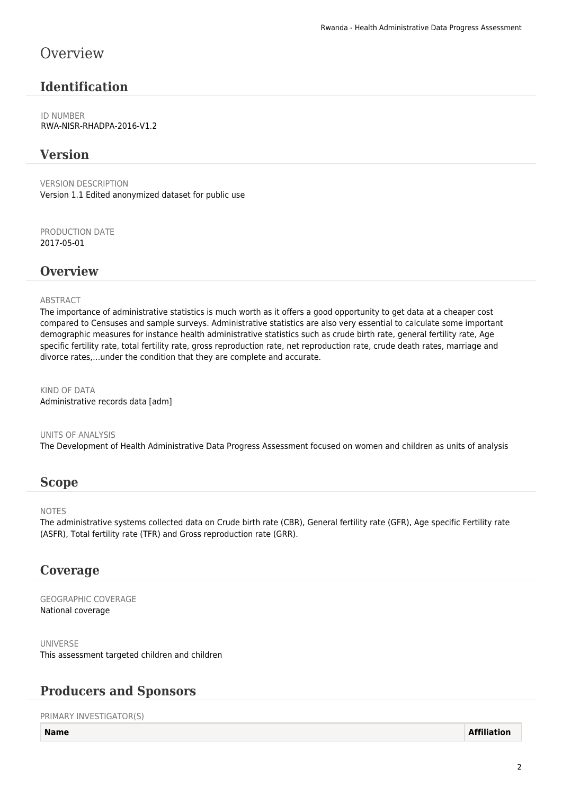### **Overview**

### **Identification**

ID NUMBER RWA-NISR-RHADPA-2016-V1.2

### **Version**

VERSION DESCRIPTION Version 1.1 Edited anonymized dataset for public use

PRODUCTION DATE 2017-05-01

### **Overview**

#### ABSTRACT

The importance of administrative statistics is much worth as it offers a good opportunity to get data at a cheaper cost compared to Censuses and sample surveys. Administrative statistics are also very essential to calculate some important demographic measures for instance health administrative statistics such as crude birth rate, general fertility rate, Age specific fertility rate, total fertility rate, gross reproduction rate, net reproduction rate, crude death rates, marriage and divorce rates,…under the condition that they are complete and accurate.

KIND OF DATA Administrative records data [adm]

#### UNITS OF ANALYSIS

The Development of Health Administrative Data Progress Assessment focused on women and children as units of analysis

### **Scope**

#### NOTES

The administrative systems collected data on Crude birth rate (CBR), General fertility rate (GFR), Age specific Fertility rate (ASFR), Total fertility rate (TFR) and Gross reproduction rate (GRR).

### **Coverage**

GEOGRAPHIC COVERAGE National coverage

UNIVERSE This assessment targeted children and children

### **Producers and Sponsors**

PRIMARY INVESTIGATOR(S)

**Name Affiliation**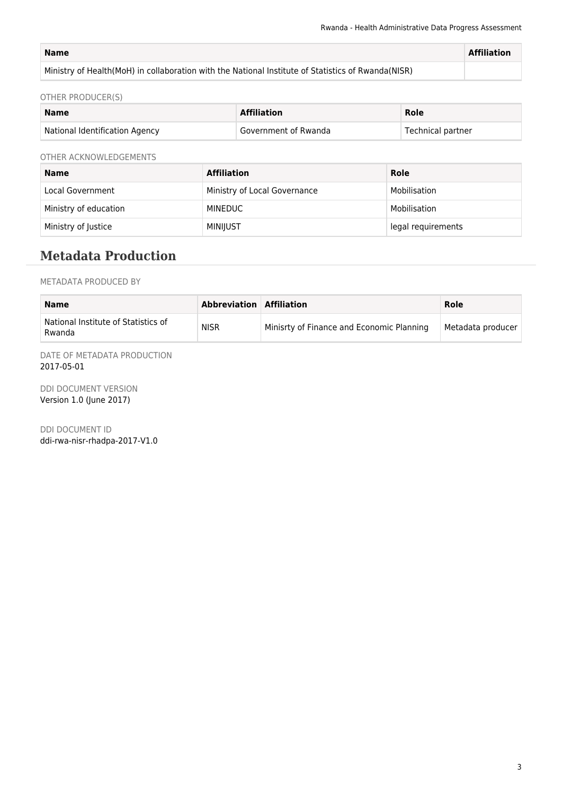| <b>Name</b>                                                                                        | <b>Affiliation</b> |
|----------------------------------------------------------------------------------------------------|--------------------|
| Ministry of Health(MoH) in collaboration with the National Institute of Statistics of Rwanda(NISR) |                    |

OTHER PRODUCER(S)

| <b>Name</b>                    | <b>Affiliation</b>   | Role              |
|--------------------------------|----------------------|-------------------|
| National Identification Agency | Government of Rwanda | Technical partner |

OTHER ACKNOWLEDGEMENTS

| <b>Name</b>           | <b>Affiliation</b>           | <b>Role</b>        |
|-----------------------|------------------------------|--------------------|
| Local Government      | Ministry of Local Governance | Mobilisation       |
| Ministry of education | MINEDUC                      | Mobilisation       |
| Ministry of Justice   | MINIJUST                     | legal requirements |

### **Metadata Production**

#### METADATA PRODUCED BY

| <b>Name</b>                                   | Abbreviation Affiliation |                                           | Role              |
|-----------------------------------------------|--------------------------|-------------------------------------------|-------------------|
| National Institute of Statistics of<br>Rwanda | <b>NISR</b>              | Minisrty of Finance and Economic Planning | Metadata producer |

DATE OF METADATA PRODUCTION 2017-05-01

DDI DOCUMENT VERSION Version 1.0 (June 2017)

DDI DOCUMENT ID ddi-rwa-nisr-rhadpa-2017-V1.0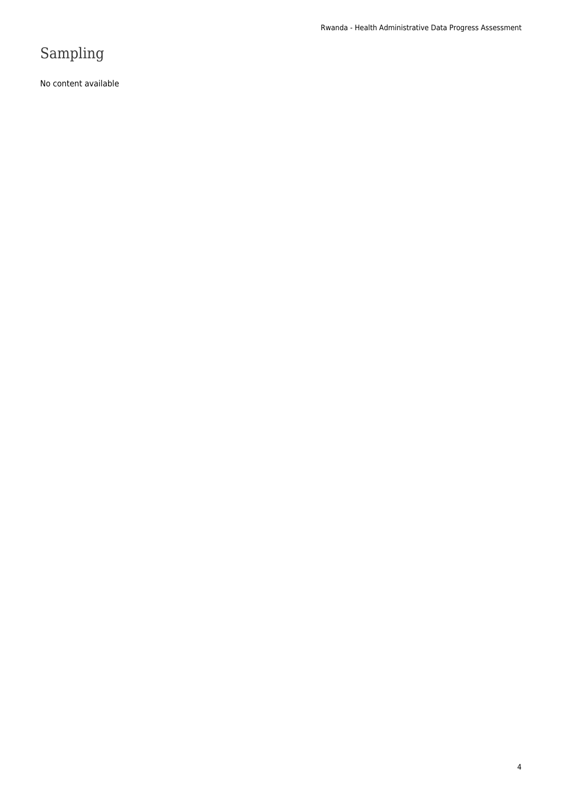## Sampling

No content available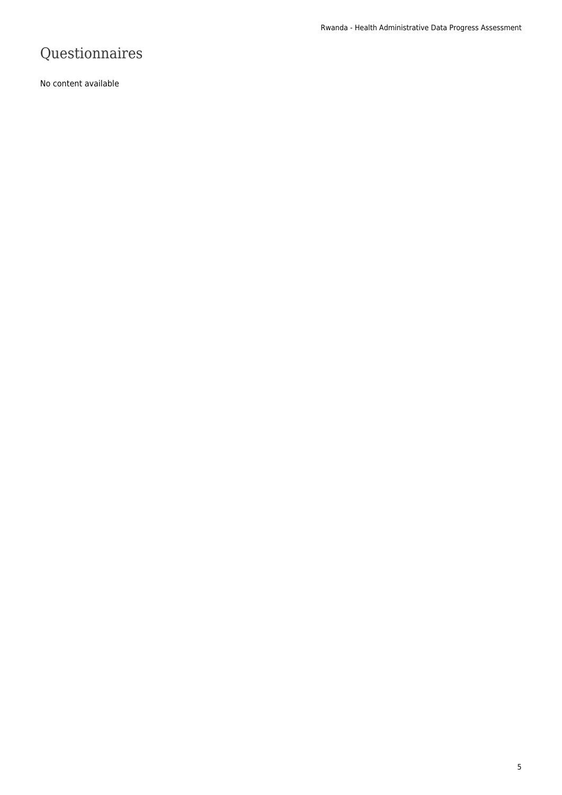## Questionnaires

No content available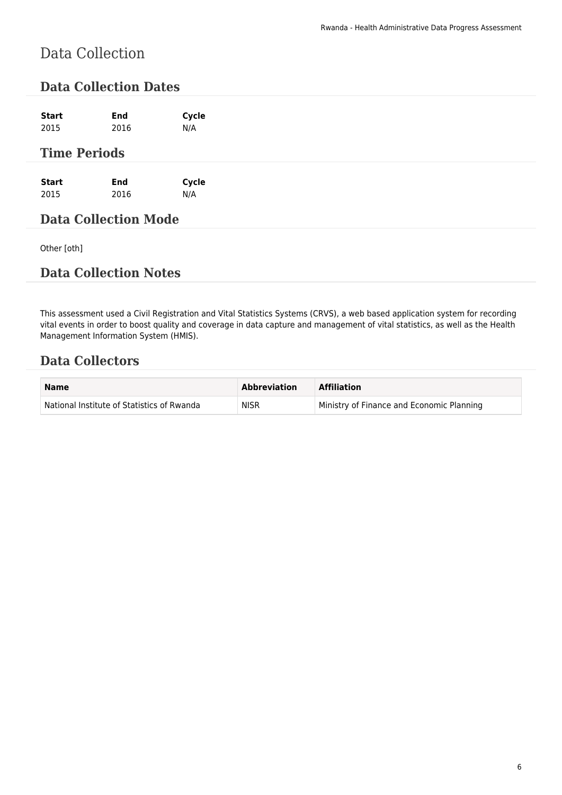## Data Collection

### **Data Collection Dates**

| <b>Start</b> | End  | Cycle |
|--------------|------|-------|
| 2015         | 2016 | N/A   |

### **Time Periods**

| Start | End  | Cycle |
|-------|------|-------|
| 2015  | 2016 | N/A   |

### **Data Collection Mode**

Other [oth]

### **Data Collection Notes**

This assessment used a Civil Registration and Vital Statistics Systems (CRVS), a web based application system for recording vital events in order to boost quality and coverage in data capture and management of vital statistics, as well as the Health Management Information System (HMIS).

### **Data Collectors**

| <b>Name</b>                                | <b>Abbreviation</b> | <b>Affiliation</b>                        |
|--------------------------------------------|---------------------|-------------------------------------------|
| National Institute of Statistics of Rwanda | <b>NISR</b>         | Ministry of Finance and Economic Planning |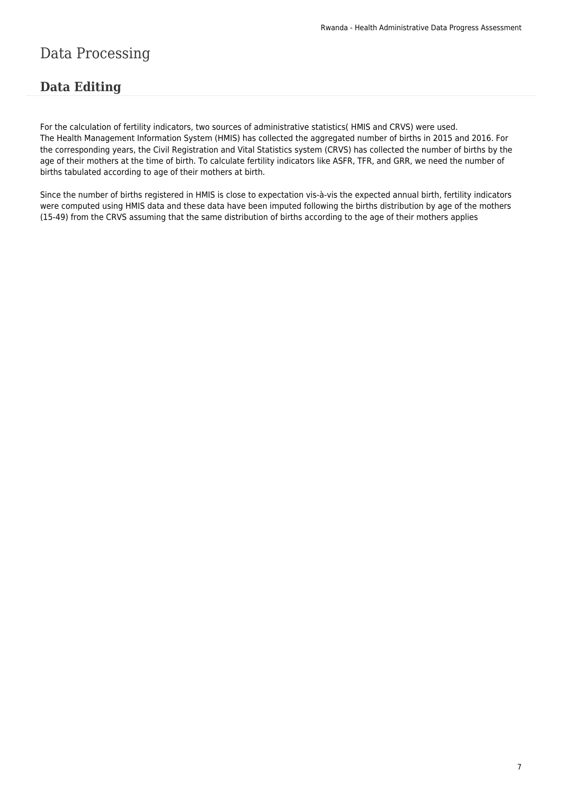## Data Processing

### **Data Editing**

For the calculation of fertility indicators, two sources of administrative statistics( HMIS and CRVS) were used. The Health Management Information System (HMIS) has collected the aggregated number of births in 2015 and 2016. For the corresponding years, the Civil Registration and Vital Statistics system (CRVS) has collected the number of births by the age of their mothers at the time of birth. To calculate fertility indicators like ASFR, TFR, and GRR, we need the number of births tabulated according to age of their mothers at birth.

Since the number of births registered in HMIS is close to expectation vis-à-vis the expected annual birth, fertility indicators were computed using HMIS data and these data have been imputed following the births distribution by age of the mothers (15-49) from the CRVS assuming that the same distribution of births according to the age of their mothers applies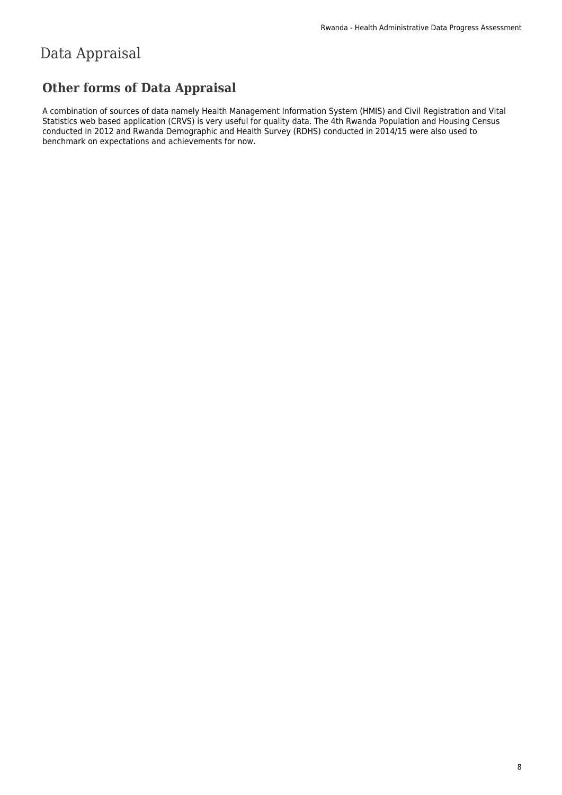## Data Appraisal

### **Other forms of Data Appraisal**

A combination of sources of data namely Health Management Information System (HMIS) and Civil Registration and Vital Statistics web based application (CRVS) is very useful for quality data. The 4th Rwanda Population and Housing Census conducted in 2012 and Rwanda Demographic and Health Survey (RDHS) conducted in 2014/15 were also used to benchmark on expectations and achievements for now.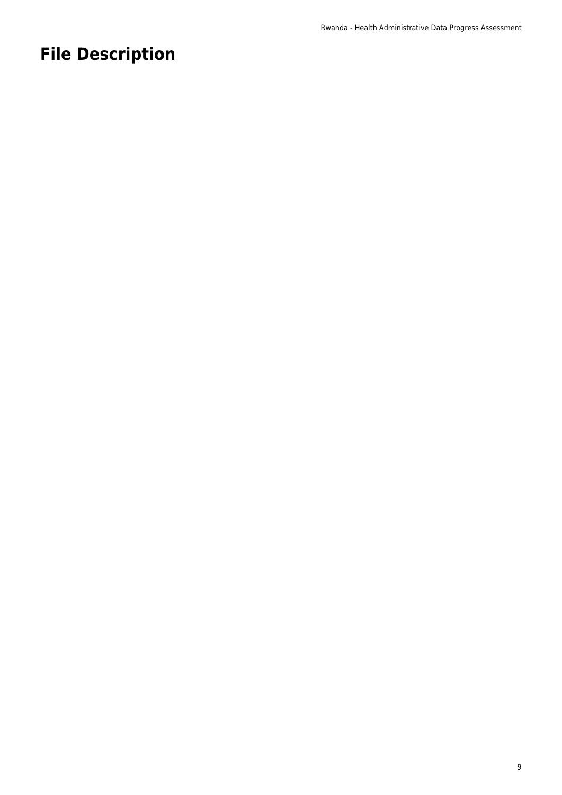## **File Description**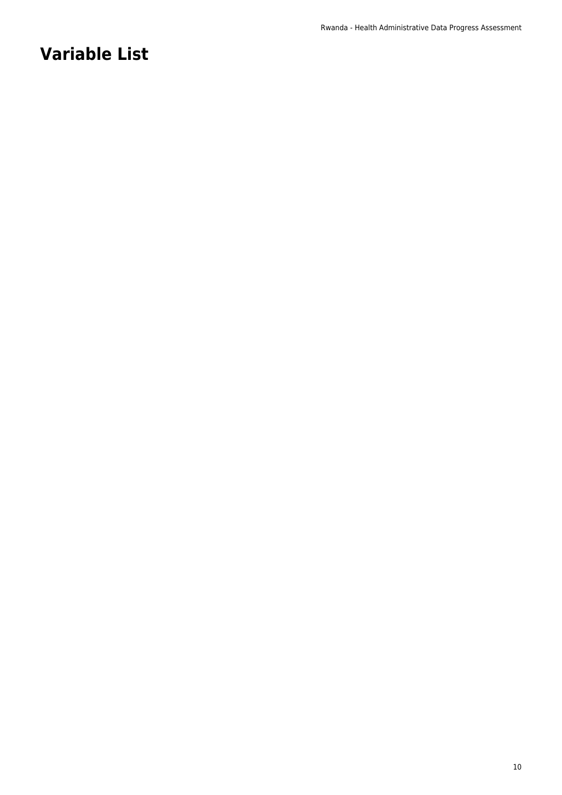## **Variable List**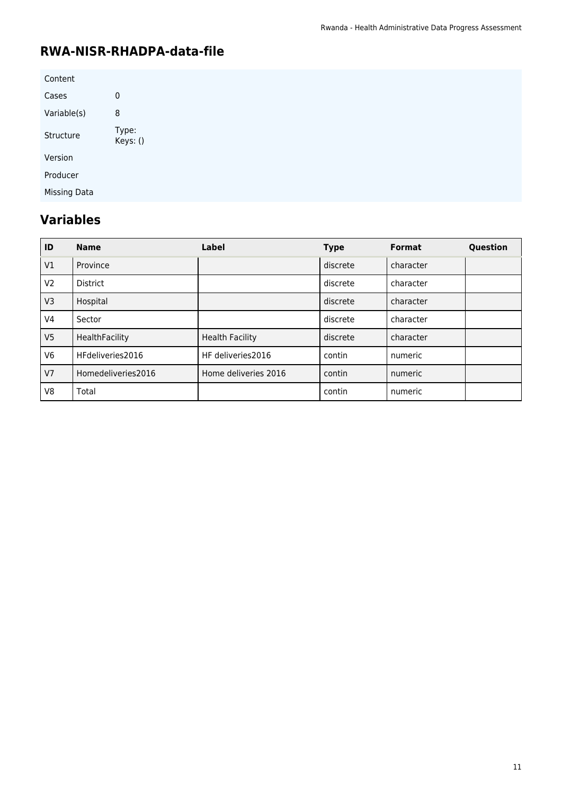### **RWA-NISR-RHADPA-data-file**

| Content      |                   |
|--------------|-------------------|
| Cases        | 0                 |
| Variable(s)  | 8                 |
| Structure    | Type:<br>Keys: () |
| Version      |                   |
| Producer     |                   |
| Missing Data |                   |
|              |                   |

### **Variables**

| ID             | <b>Name</b>        | Label                  | <b>Type</b> | Format    | Question |
|----------------|--------------------|------------------------|-------------|-----------|----------|
| V <sub>1</sub> | Province           |                        | discrete    | character |          |
| V <sub>2</sub> | <b>District</b>    |                        | discrete    | character |          |
| V3             | Hospital           |                        | discrete    | character |          |
| V <sub>4</sub> | Sector             |                        | discrete    | character |          |
| V <sub>5</sub> | HealthFacility     | <b>Health Facility</b> | discrete    | character |          |
| V <sub>6</sub> | HFdeliveries2016   | HF deliveries2016      | contin      | numeric   |          |
| V <sub>7</sub> | Homedeliveries2016 | Home deliveries 2016   | contin      | numeric   |          |
| V8             | Total              |                        | contin      | numeric   |          |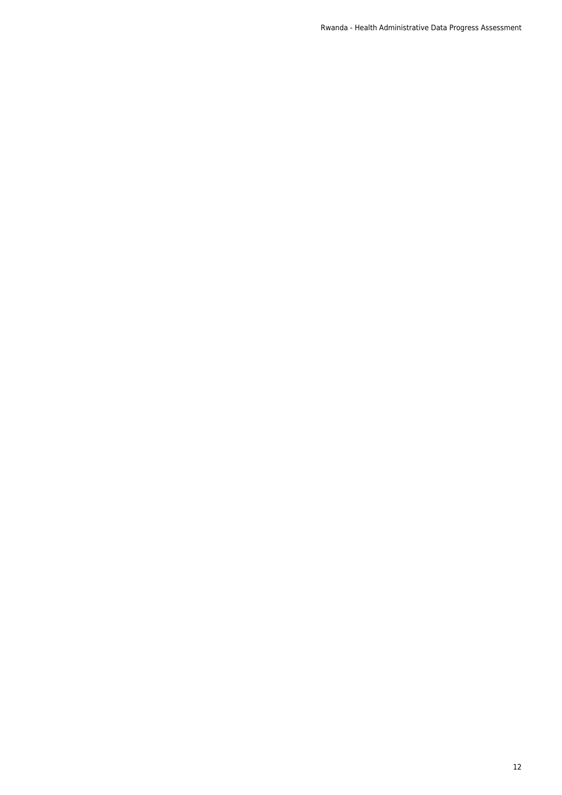Rwanda - Health Administrative Data Progress Assessment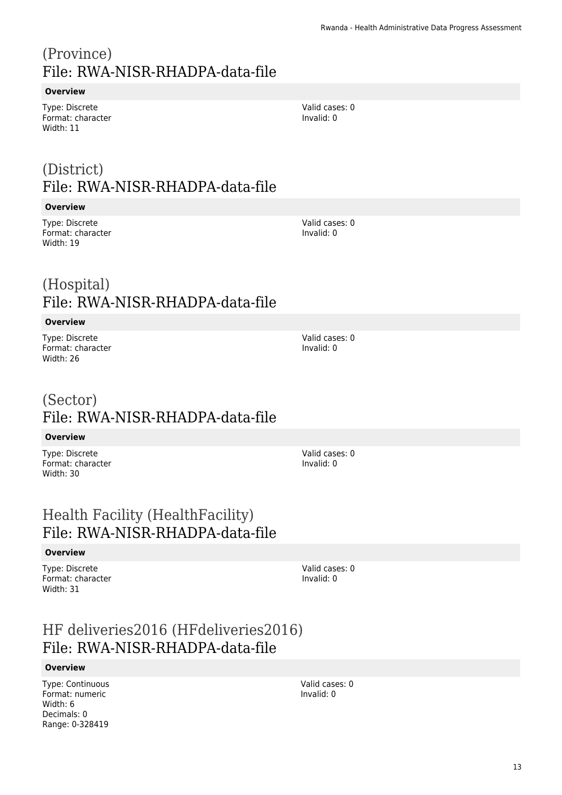## (Province) File: RWA-NISR-RHADPA-data-file

#### **Overview**

Type: Discrete Format: character Width: 11

## (District) File: RWA-NISR-RHADPA-data-file

#### **Overview**

Type: Discrete Format: character Width: 19

## (Hospital) File: RWA-NISR-RHADPA-data-file

#### **Overview**

Type: Discrete Format: character Width: 26

### (Sector) File: RWA-NISR-RHADPA-data-file

#### **Overview**

Type: Discrete Format: character Width: 30

### Health Facility (HealthFacility) File: RWA-NISR-RHADPA-data-file

#### **Overview**

Type: Discrete Format: character Width: 31

## HF deliveries2016 (HFdeliveries2016) File: RWA-NISR-RHADPA-data-file

#### **Overview**

Type: Continuous Format: numeric Width: 6 Decimals: 0 Range: 0-328419

Valid cases: 0 Invalid: 0

Valid cases: 0 Invalid: 0

Valid cases: 0 Invalid: 0

Valid cases: 0 Invalid: 0

Valid cases: 0 Invalid: 0

Valid cases: 0 Invalid: 0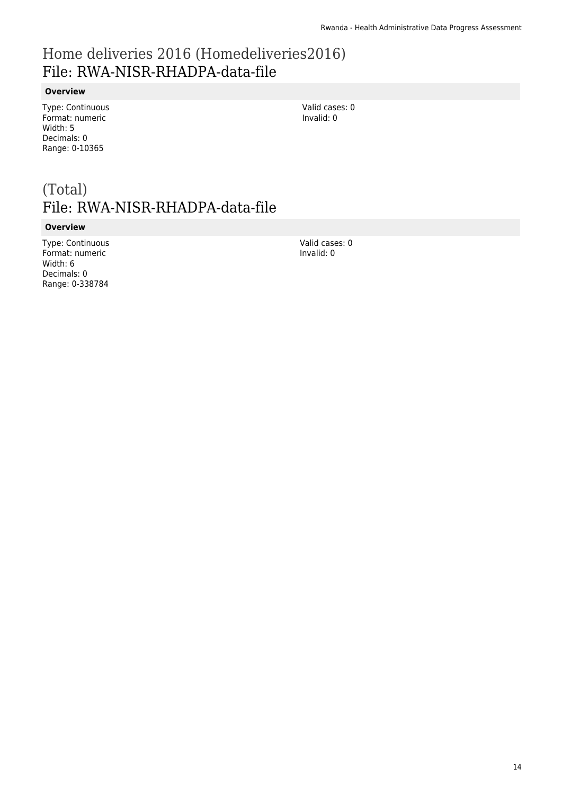## Home deliveries 2016 (Homedeliveries2016) File: RWA-NISR-RHADPA-data-file

#### **Overview**

Type: Continuous Format: numeric Width: 5 Decimals: 0 Range: 0-10365

## (Total) File: RWA-NISR-RHADPA-data-file

#### **Overview**

Type: Continuous Format: numeric Width: 6 Decimals: 0 Range: 0-338784

Valid cases: 0 Invalid: 0

Valid cases: 0 Invalid: 0